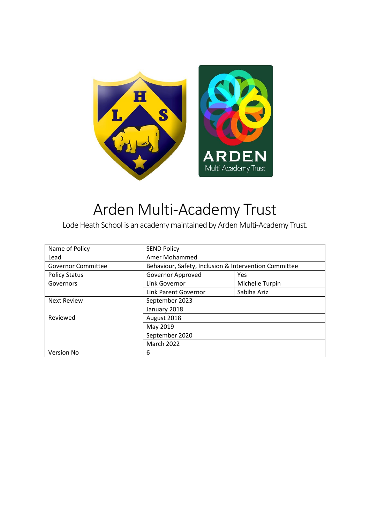

# Arden Multi-Academy Trust

Lode Heath School is an academy maintained by Arden Multi-Academy Trust.

| Name of Policy            | <b>SEND Policy</b>                                    |                 |
|---------------------------|-------------------------------------------------------|-----------------|
| Lead                      | Amer Mohammed                                         |                 |
| <b>Governor Committee</b> | Behaviour, Safety, Inclusion & Intervention Committee |                 |
| <b>Policy Status</b>      | Governor Approved                                     | Yes             |
| Governors                 | Link Governor                                         | Michelle Turpin |
|                           | Link Parent Governor                                  | Sabiha Aziz     |
| <b>Next Review</b>        | September 2023                                        |                 |
|                           | January 2018                                          |                 |
| Reviewed                  | August 2018                                           |                 |
|                           | May 2019                                              |                 |
|                           | September 2020                                        |                 |
|                           | March 2022                                            |                 |
| <b>Version No</b>         | 6                                                     |                 |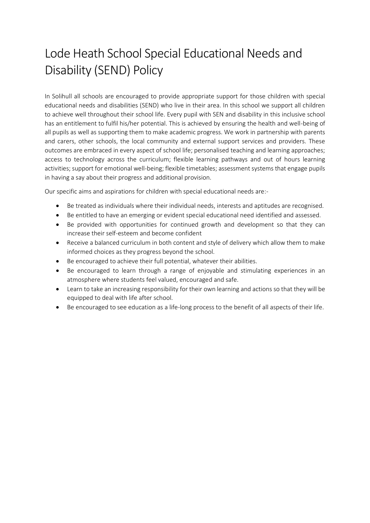## Lode Heath School Special Educational Needs and Disability (SEND) Policy

In Solihull all schools are encouraged to provide appropriate support for those children with special educational needs and disabilities (SEND) who live in their area. In this school we support all children to achieve well throughout their school life. Every pupil with SEN and disability in this inclusive school has an entitlement to fulfil his/her potential. This is achieved by ensuring the health and well-being of all pupils as well as supporting them to make academic progress. We work in partnership with parents and carers, other schools, the local community and external support services and providers. These outcomes are embraced in every aspect of school life; personalised teaching and learning approaches; access to technology across the curriculum; flexible learning pathways and out of hours learning activities; support for emotional well-being; flexible timetables; assessment systems that engage pupils in having a say about their progress and additional provision.

Our specific aims and aspirations for children with special educational needs are:-

- Be treated as individuals where their individual needs, interests and aptitudes are recognised.
- Be entitled to have an emerging or evident special educational need identified and assessed.
- Be provided with opportunities for continued growth and development so that they can increase their self-esteem and become confident
- Receive a balanced curriculum in both content and style of delivery which allow them to make informed choices as they progress beyond the school.
- Be encouraged to achieve their full potential, whatever their abilities.
- Be encouraged to learn through a range of enjoyable and stimulating experiences in an atmosphere where students feel valued, encouraged and safe.
- Learn to take an increasing responsibility for their own learning and actions so that they will be equipped to deal with life after school.
- Be encouraged to see education as a life-long process to the benefit of all aspects of their life.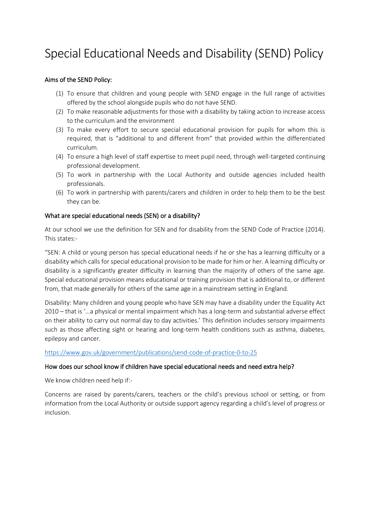## Special Educational Needs and Disability (SEND) Policy

#### Aims of the SEND Policy:

- (1) To ensure that children and young people with SEND engage in the full range of activities offered by the school alongside pupils who do not have SEND.
- (2) To make reasonable adjustments for those with a disability by taking action to increase access to the curriculum and the environment
- (3) To make every effort to secure special educational provision for pupils for whom this is required, that is "additional to and different from" that provided within the differentiated curriculum.
- (4) To ensure a high level of staff expertise to meet pupil need, through well-targeted continuing professional development.
- (5) To work in partnership with the Local Authority and outside agencies included health professionals.
- (6) To work in partnership with parents/carers and children in order to help them to be the best they can be.

#### What are special educational needs (SEN) or a disability?

At our school we use the definition for SEN and for disability from the SEND Code of Practice (2014). This states:-

"SEN: A child or young person has special educational needs if he or she has a learning difficulty or a disability which calls for special educational provision to be made for him or her. A learning difficulty or disability is a significantly greater difficulty in learning than the majority of others of the same age. Special educational provision means educational or training provision that is additional to, or different from, that made generally for others of the same age in a mainstream setting in England.

Disability: Many children and young people who have SEN may have a disability under the Equality Act 2010 – that is '…a physical or mental impairment which has a long-term and substantial adverse effect on their ability to carry out normal day to day activities.' This definition includes sensory impairments such as those affecting sight or hearing and long-term health conditions such as asthma, diabetes, epilepsy and cancer.

#### <https://www.gov.uk/government/publications/send-code-of-practice-0-to-25>

#### How does our school know if children have special educational needs and need extra help?

We know children need help if:-

Concerns are raised by parents/carers, teachers or the child's previous school or setting, or from information from the Local Authority or outside support agency regarding a child's level of progress or inclusion.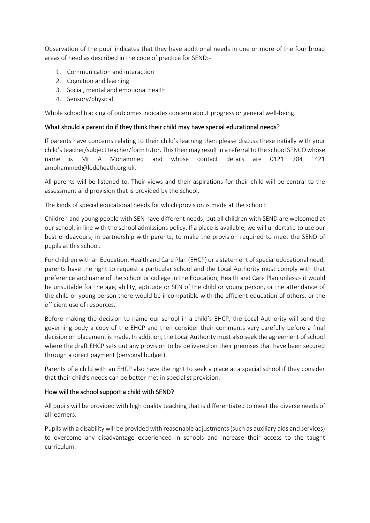Observation of the pupil indicates that they have additional needs in one or more of the four broad areas of need as described in the code of practice for SEND:-

- 1. Communication and interaction
- 2. Cognition and learning
- 3. Social, mental and emotional health
- 4. Sensory/physical

Whole school tracking of outcomes indicates concern about progress or general well-being.

#### What should a parent do if they think their child may have special educational needs?

If parents have concerns relating to their child's learning then please discuss these initially with your child's teacher/subject teacher/form tutor. This then may result in a referral to the school SENCO whose name is Mr A Mohammed and whose contact details are 0121 704 1421 amohammed@lodeheath.org.uk.

All parents will be listened to. Their views and their aspirations for their child will be central to the assessment and provision that is provided by the school.

The kinds of special educational needs for which provision is made at the school:

Children and young people with SEN have different needs, but all children with SEND are welcomed at our school, in line with the school admissions policy. If a place is available, we will undertake to use our best endeavours, in partnership with parents, to make the provision required to meet the SEND of pupils at this school.

For children with an Education, Health and Care Plan (EHCP) or a statement of special educational need, parents have the right to request a particular school and the Local Authority must comply with that preference and name of the school or college in the Education, Health and Care Plan unless:- it would be unsuitable for the age, ability, aptitude or SEN of the child or young person, or the attendance of the child or young person there would be incompatible with the efficient education of others, or the efficient use of resources.

Before making the decision to name our school in a child's EHCP, the Local Authority will send the governing body a copy of the EHCP and then consider their comments very carefully before a final decision on placement is made. In addition, the Local Authority must also seek the agreement of school where the draft EHCP sets out any provision to be delivered on their premises that have been secured through a direct payment (personal budget).

Parents of a child with an EHCP also have the right to seek a place at a special school if they consider that their child's needs can be better met in specialist provision.

#### How will the school support a child with SEND?

All pupils will be provided with high quality teaching that is differentiated to meet the diverse needs of all learners.

Pupils with a disability will be provided with reasonable adjustments (such as auxiliary aids and services) to overcome any disadvantage experienced in schools and increase their access to the taught curriculum.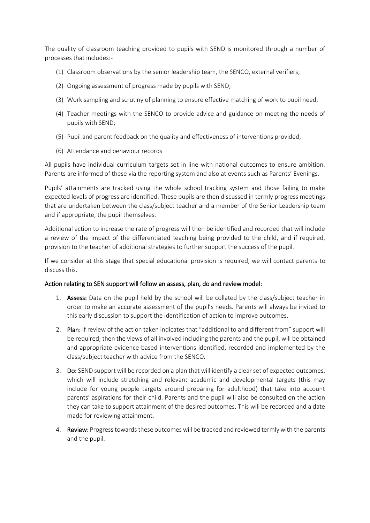The quality of classroom teaching provided to pupils with SEND is monitored through a number of processes that includes:-

- (1) Classroom observations by the senior leadership team, the SENCO, external verifiers;
- (2) Ongoing assessment of progress made by pupils with SEND;
- (3) Work sampling and scrutiny of planning to ensure effective matching of work to pupil need;
- (4) Teacher meetings with the SENCO to provide advice and guidance on meeting the needs of pupils with SEND;
- (5) Pupil and parent feedback on the quality and effectiveness of interventions provided;
- (6) Attendance and behaviour records

All pupils have individual curriculum targets set in line with national outcomes to ensure ambition. Parents are informed of these via the reporting system and also at events such as Parents' Evenings.

Pupils' attainments are tracked using the whole school tracking system and those failing to make expected levels of progress are identified. These pupils are then discussed in termly progress meetings that are undertaken between the class/subject teacher and a member of the Senior Leadership team and if appropriate, the pupil themselves.

Additional action to increase the rate of progress will then be identified and recorded that will include a review of the impact of the differentiated teaching being provided to the child, and if required, provision to the teacher of additional strategies to further support the success of the pupil.

If we consider at this stage that special educational provision is required, we will contact parents to discuss this.

#### Action relating to SEN support will follow an assess, plan, do and review model:

- 1. Assess: Data on the pupil held by the school will be collated by the class/subject teacher in order to make an accurate assessment of the pupil's needs. Parents will always be invited to this early discussion to support the identification of action to improve outcomes.
- 2. Plan: If review of the action taken indicates that "additional to and different from" support will be required, then the views of all involved including the parents and the pupil, will be obtained and appropriate evidence-based interventions identified, recorded and implemented by the class/subject teacher with advice from the SENCO.
- 3. Do: SEND support will be recorded on a plan that will identify a clear set of expected outcomes, which will include stretching and relevant academic and developmental targets (this may include for young people targets around preparing for adulthood) that take into account parents' aspirations for their child. Parents and the pupil will also be consulted on the action they can take to support attainment of the desired outcomes. This will be recorded and a date made for reviewing attainment.
- 4. Review: Progress towards these outcomes will be tracked and reviewed termly with the parents and the pupil.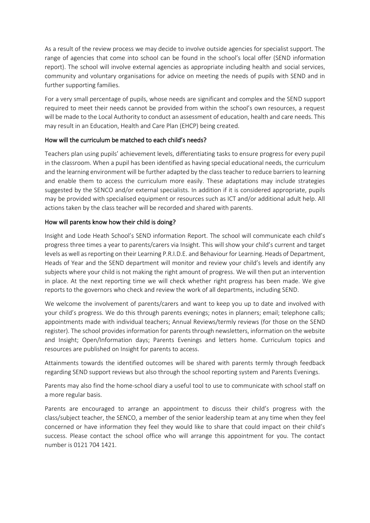As a result of the review process we may decide to involve outside agencies for specialist support. The range of agencies that come into school can be found in the school's local offer (SEND information report). The school will involve external agencies as appropriate including health and social services, community and voluntary organisations for advice on meeting the needs of pupils with SEND and in further supporting families.

For a very small percentage of pupils, whose needs are significant and complex and the SEND support required to meet their needs cannot be provided from within the school's own resources, a request will be made to the Local Authority to conduct an assessment of education, health and care needs. This may result in an Education, Health and Care Plan (EHCP) being created.

## How will the curriculum be matched to each child's needs?

Teachers plan using pupils' achievement levels, differentiating tasks to ensure progress for every pupil in the classroom. When a pupil has been identified as having special educational needs, the curriculum and the learning environment will be further adapted by the class teacher to reduce barriers to learning and enable them to access the curriculum more easily. These adaptations may include strategies suggested by the SENCO and/or external specialists. In addition if it is considered appropriate, pupils may be provided with specialised equipment or resources such as ICT and/or additional adult help. All actions taken by the class teacher will be recorded and shared with parents.

## How will parents know how their child is doing?

Insight and Lode Heath School's SEND information Report. The school will communicate each child's progress three times a year to parents/carers via Insight. This will show your child's current and target levels as well as reporting on their Learning P.R.I.D.E. and Behaviour for Learning. Heads of Department, Heads of Year and the SEND department will monitor and review your child's levels and identify any subjects where your child is not making the right amount of progress. We will then put an intervention in place. At the next reporting time we will check whether right progress has been made. We give reports to the governors who check and review the work of all departments, including SEND.

We welcome the involvement of parents/carers and want to keep you up to date and involved with your child's progress. We do this through parents evenings; notes in planners; email; telephone calls; appointments made with individual teachers; Annual Reviews/termly reviews (for those on the SEND register). The school provides information for parents through newsletters, information on the website and Insight; Open/Information days; Parents Evenings and letters home. Curriculum topics and resources are published on Insight for parents to access.

Attainments towards the identified outcomes will be shared with parents termly through feedback regarding SEND support reviews but also through the school reporting system and Parents Evenings.

Parents may also find the home-school diary a useful tool to use to communicate with school staff on a more regular basis.

Parents are encouraged to arrange an appointment to discuss their child's progress with the class/subject teacher, the SENCO, a member of the senior leadership team at any time when they feel concerned or have information they feel they would like to share that could impact on their child's success. Please contact the school office who will arrange this appointment for you. The contact number is 0121 704 1421.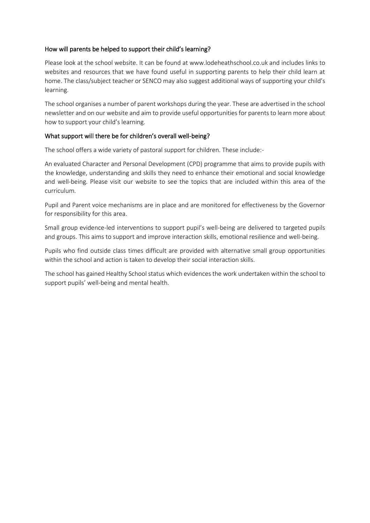## How will parents be helped to support their child's learning?

Please look at the school website. It can be found at www.lodeheathschool.co.uk and includes links to websites and resources that we have found useful in supporting parents to help their child learn at home. The class/subject teacher or SENCO may also suggest additional ways of supporting your child's learning.

The school organises a number of parent workshops during the year. These are advertised in the school newsletter and on our website and aim to provide useful opportunities for parents to learn more about how to support your child's learning.

## What support will there be for children's overall well-being?

The school offers a wide variety of pastoral support for children. These include:-

An evaluated Character and Personal Development (CPD) programme that aims to provide pupils with the knowledge, understanding and skills they need to enhance their emotional and social knowledge and well-being. Please visit our website to see the topics that are included within this area of the curriculum.

Pupil and Parent voice mechanisms are in place and are monitored for effectiveness by the Governor for responsibility for this area.

Small group evidence-led interventions to support pupil's well-being are delivered to targeted pupils and groups. This aims to support and improve interaction skills, emotional resilience and well-being.

Pupils who find outside class times difficult are provided with alternative small group opportunities within the school and action is taken to develop their social interaction skills.

The school has gained Healthy School status which evidences the work undertaken within the school to support pupils' well-being and mental health.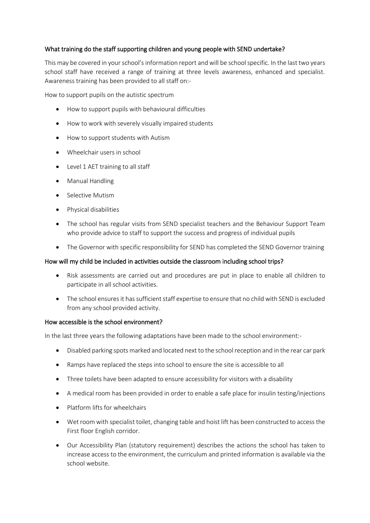## What training do the staff supporting children and young people with SEND undertake?

This may be covered in your school's information report and will be school specific. In the last two years school staff have received a range of training at three levels awareness, enhanced and specialist. Awareness training has been provided to all staff on:-

How to support pupils on the autistic spectrum

- How to support pupils with behavioural difficulties
- How to work with severely visually impaired students
- How to support students with Autism
- Wheelchair users in school
- Level 1 AET training to all staff
- Manual Handling
- Selective Mutism
- Physical disabilities
- The school has regular visits from SEND specialist teachers and the Behaviour Support Team who provide advice to staff to support the success and progress of individual pupils
- The Governor with specific responsibility for SEND has completed the SEND Governor training

#### How will my child be included in activities outside the classroom including school trips?

- Risk assessments are carried out and procedures are put in place to enable all children to participate in all school activities.
- The school ensures it has sufficient staff expertise to ensure that no child with SEND is excluded from any school provided activity.

#### How accessible is the school environment?

In the last three years the following adaptations have been made to the school environment:-

- Disabled parking spots marked and located next to the school reception and in the rear car park
- Ramps have replaced the steps into school to ensure the site is accessible to all
- Three toilets have been adapted to ensure accessibility for visitors with a disability
- A medical room has been provided in order to enable a safe place for insulin testing/injections
- Platform lifts for wheelchairs
- Wet room with specialist toilet, changing table and hoist lift has been constructed to access the First floor English corridor.
- Our Accessibility Plan (statutory requirement) describes the actions the school has taken to increase access to the environment, the curriculum and printed information is available via the school website.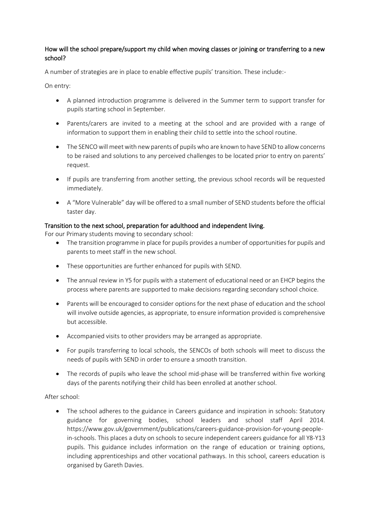## How will the school prepare/support my child when moving classes or joining or transferring to a new school?

A number of strategies are in place to enable effective pupils' transition. These include:-

On entry:

- A planned introduction programme is delivered in the Summer term to support transfer for pupils starting school in September.
- Parents/carers are invited to a meeting at the school and are provided with a range of information to support them in enabling their child to settle into the school routine.
- The SENCOwill meet with new parents of pupils who are known to have SEND to allow concerns to be raised and solutions to any perceived challenges to be located prior to entry on parents' request.
- If pupils are transferring from another setting, the previous school records will be requested immediately.
- A "More Vulnerable" day will be offered to a small number of SEND students before the official taster day.

#### Transition to the next school, preparation for adulthood and independent living.

For our Primary students moving to secondary school:

- The transition programme in place for pupils provides a number of opportunities for pupils and parents to meet staff in the new school.
- These opportunities are further enhanced for pupils with SEND.
- The annual review in Y5 for pupils with a statement of educational need or an EHCP begins the process where parents are supported to make decisions regarding secondary school choice.
- Parents will be encouraged to consider options for the next phase of education and the school will involve outside agencies, as appropriate, to ensure information provided is comprehensive but accessible.
- Accompanied visits to other providers may be arranged as appropriate.
- For pupils transferring to local schools, the SENCOs of both schools will meet to discuss the needs of pupils with SEND in order to ensure a smooth transition.
- The records of pupils who leave the school mid-phase will be transferred within five working days of the parents notifying their child has been enrolled at another school.

#### After school:

• The school adheres to the guidance in Careers guidance and inspiration in schools: Statutory guidance for governing bodies, school leaders and school staff April 2014. https://www.gov.uk/government/publications/careers-guidance-provision-for-young-peoplein-schools. This places a duty on schools to secure independent careers guidance for all Y8-Y13 pupils. This guidance includes information on the range of education or training options, including apprenticeships and other vocational pathways. In this school, careers education is organised by Gareth Davies.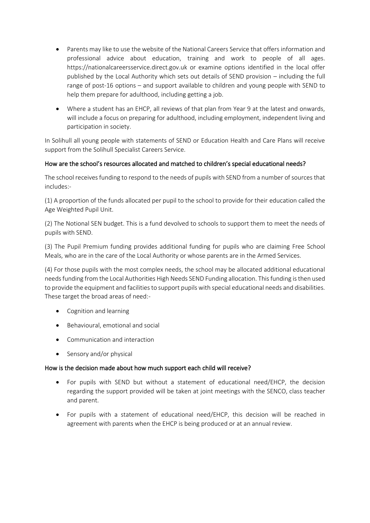- Parents may like to use the website of the National Careers Service that offers information and professional advice about education, training and work to people of all ages. https://nationalcareersservice.direct.gov.uk or examine options identified in the local offer published by the Local Authority which sets out details of SEND provision – including the full range of post-16 options – and support available to children and young people with SEND to help them prepare for adulthood, including getting a job.
- Where a student has an EHCP, all reviews of that plan from Year 9 at the latest and onwards, will include a focus on preparing for adulthood, including employment, independent living and participation in society.

In Solihull all young people with statements of SEND or Education Health and Care Plans will receive support from the Solihull Specialist Careers Service.

## How are the school's resources allocated and matched to children's special educational needs?

The school receives funding to respond to the needs of pupils with SEND from a number of sources that includes:-

(1) A proportion of the funds allocated per pupil to the school to provide for their education called the Age Weighted Pupil Unit.

(2) The Notional SEN budget. This is a fund devolved to schools to support them to meet the needs of pupils with SEND.

(3) The Pupil Premium funding provides additional funding for pupils who are claiming Free School Meals, who are in the care of the Local Authority or whose parents are in the Armed Services.

(4) For those pupils with the most complex needs, the school may be allocated additional educational needs funding from the Local Authorities High Needs SEND Funding allocation. This funding is then used to provide the equipment and facilities to support pupils with special educational needs and disabilities. These target the broad areas of need:-

- Cognition and learning
- Behavioural, emotional and social
- Communication and interaction
- Sensory and/or physical

## How is the decision made about how much support each child will receive?

- For pupils with SEND but without a statement of educational need/EHCP, the decision regarding the support provided will be taken at joint meetings with the SENCO, class teacher and parent.
- For pupils with a statement of educational need/EHCP, this decision will be reached in agreement with parents when the EHCP is being produced or at an annual review.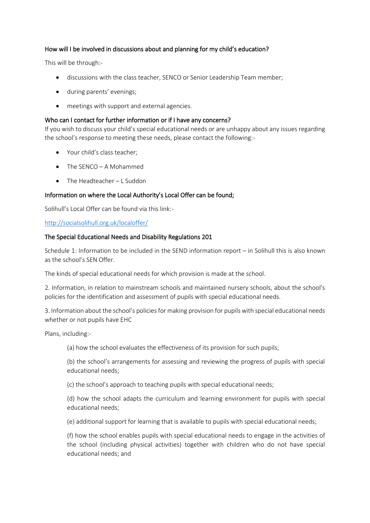## How will I be involved in discussions about and planning for my child's education?

This will be through:-

- discussions with the class teacher, SENCO or Senior Leadership Team member;
- during parents' evenings;
- meetings with support and external agencies.

### Who can I contact for further information or if I have any concerns?

If you wish to discuss your child's special educational needs or are unhappy about any issues regarding the school's response to meeting these needs, please contact the following:-

- Your child's class teacher;
- The SENCO A Mohammed
- The Headteacher L Suddon

## Information on where the Local Authority's Local Offer can be found;

Solihull's Local Offer can be found via this link:-

#### <http://socialsolihull.org.uk/localoffer/>

## The Special Educational Needs and Disability Regulations 201

Schedule 1: Information to be included in the SEND information report – in Solihull this is also known as the school's SEN Offer.

The kinds of special educational needs for which provision is made at the school.

2. Information, in relation to mainstream schools and maintained nursery schools, about the school's policies for the identification and assessment of pupils with special educational needs.

3. Information about the school's policies for making provision for pupils with special educational needs whether or not pupils have EHC

Plans, including:-

(a) how the school evaluates the effectiveness of its provision for such pupils;

(b) the school's arrangements for assessing and reviewing the progress of pupils with special educational needs;

(c) the school's approach to teaching pupils with special educational needs;

(d) how the school adapts the curriculum and learning environment for pupils with special educational needs;

(e) additional support for learning that is available to pupils with special educational needs;

(f) how the school enables pupils with special educational needs to engage in the activities of the school (including physical activities) together with children who do not have special educational needs; and